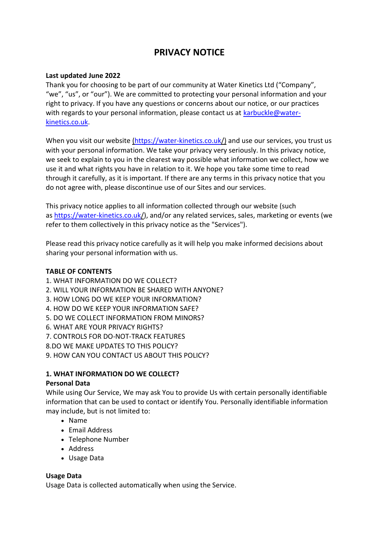# **PRIVACY NOTICE**

## **Last updated June 2022**

Thank you for choosing to be part of our community at Water Kinetics Ltd ("Company", "we", "us", or "our"). We are committed to protecting your personal information and your right to privacy. If you have any questions or concerns about our notice, or our practices with regards to your personal information, please contact us at [karbuckle@water](mailto:karbuckle@water-kinetics.co.uk)[kinetics.co.uk.](mailto:karbuckle@water-kinetics.co.uk)

When you visit our website [\(https://water-kinetics.co.uk/](https://water-kinetics.co.uk/)) and use our services, you trust us with your personal information. We take your privacy very seriously. In this privacy notice, we seek to explain to you in the clearest way possible what information we collect, how we use it and what rights you have in relation to it. We hope you take some time to read through it carefully, as it is important. If there are any terms in this privacy notice that you do not agree with, please discontinue use of our Sites and our services.

This privacy notice applies to all information collected through our website (such as [https://water-kinetics.co.uk/](https://water-kinetics.co.uk/contact)), and/or any related services, sales, marketing or events (we refer to them collectively in this privacy notice as the "Services").

Please read this privacy notice carefully as it will help you make informed decisions about sharing your personal information with us.

## **TABLE OF CONTENTS**

- 1. WHAT INFORMATION DO WE COLLECT?
- 2. WILL YOUR INFORMATION BE SHARED WITH ANYONE?
- 3. HOW LONG DO WE KEEP YOUR INFORMATION?
- 4. HOW DO WE KEEP YOUR INFORMATION SAFE?
- 5. DO WE COLLECT INFORMATION FROM MINORS?
- 6. WHAT ARE YOUR PRIVACY RIGHTS?
- 7. CONTROLS FOR DO-NOT-TRACK FEATURES
- 8.DO WE MAKE UPDATES TO THIS POLICY?
- 9. HOW CAN YOU CONTACT US ABOUT THIS POLICY?

# **1. WHAT INFORMATION DO WE COLLECT?**

## **Personal Data**

While using Our Service, We may ask You to provide Us with certain personally identifiable information that can be used to contact or identify You. Personally identifiable information may include, but is not limited to:

- Name
- Email Address
- Telephone Number
- Address
- Usage Data

# **Usage Data**

Usage Data is collected automatically when using the Service.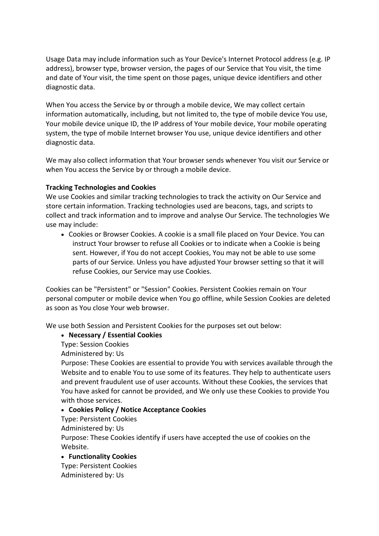Usage Data may include information such as Your Device's Internet Protocol address (e.g. IP address), browser type, browser version, the pages of our Service that You visit, the time and date of Your visit, the time spent on those pages, unique device identifiers and other diagnostic data.

When You access the Service by or through a mobile device, We may collect certain information automatically, including, but not limited to, the type of mobile device You use, Your mobile device unique ID, the IP address of Your mobile device, Your mobile operating system, the type of mobile Internet browser You use, unique device identifiers and other diagnostic data.

We may also collect information that Your browser sends whenever You visit our Service or when You access the Service by or through a mobile device.

## **Tracking Technologies and Cookies**

We use Cookies and similar tracking technologies to track the activity on Our Service and store certain information. Tracking technologies used are beacons, tags, and scripts to collect and track information and to improve and analyse Our Service. The technologies We use may include:

• Cookies or Browser Cookies. A cookie is a small file placed on Your Device. You can instruct Your browser to refuse all Cookies or to indicate when a Cookie is being sent. However, if You do not accept Cookies, You may not be able to use some parts of our Service. Unless you have adjusted Your browser setting so that it will refuse Cookies, our Service may use Cookies.

Cookies can be "Persistent" or "Session" Cookies. Persistent Cookies remain on Your personal computer or mobile device when You go offline, while Session Cookies are deleted as soon as You close Your web browser.

We use both Session and Persistent Cookies for the purposes set out below:

# • **Necessary / Essential Cookies**

Type: Session Cookies

Administered by: Us

Purpose: These Cookies are essential to provide You with services available through the Website and to enable You to use some of its features. They help to authenticate users and prevent fraudulent use of user accounts. Without these Cookies, the services that You have asked for cannot be provided, and We only use these Cookies to provide You with those services.

## • **Cookies Policy / Notice Acceptance Cookies**

Type: Persistent Cookies

Administered by: Us

Purpose: These Cookies identify if users have accepted the use of cookies on the Website.

# • **Functionality Cookies**

Type: Persistent Cookies

Administered by: Us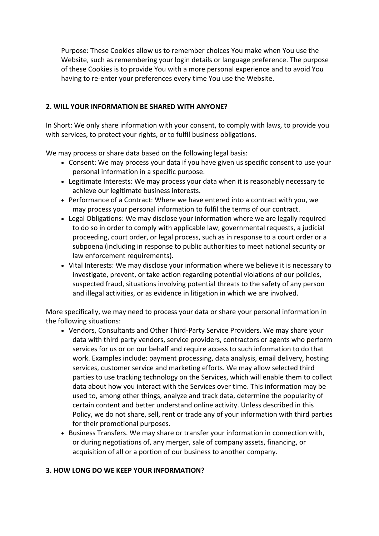Purpose: These Cookies allow us to remember choices You make when You use the Website, such as remembering your login details or language preference. The purpose of these Cookies is to provide You with a more personal experience and to avoid You having to re-enter your preferences every time You use the Website.

## **2. WILL YOUR INFORMATION BE SHARED WITH ANYONE?**

In Short: We only share information with your consent, to comply with laws, to provide you with services, to protect your rights, or to fulfil business obligations.

We may process or share data based on the following legal basis:

- Consent: We may process your data if you have given us specific consent to use your personal information in a specific purpose.
- Legitimate Interests: We may process your data when it is reasonably necessary to achieve our legitimate business interests.
- Performance of a Contract: Where we have entered into a contract with you, we may process your personal information to fulfil the terms of our contract.
- Legal Obligations: We may disclose your information where we are legally required to do so in order to comply with applicable law, governmental requests, a judicial proceeding, court order, or legal process, such as in response to a court order or a subpoena (including in response to public authorities to meet national security or law enforcement requirements).
- Vital Interests: We may disclose your information where we believe it is necessary to investigate, prevent, or take action regarding potential violations of our policies, suspected fraud, situations involving potential threats to the safety of any person and illegal activities, or as evidence in litigation in which we are involved.

More specifically, we may need to process your data or share your personal information in the following situations:

- Vendors, Consultants and Other Third-Party Service Providers. We may share your data with third party vendors, service providers, contractors or agents who perform services for us or on our behalf and require access to such information to do that work. Examples include: payment processing, data analysis, email delivery, hosting services, customer service and marketing efforts. We may allow selected third parties to use tracking technology on the Services, which will enable them to collect data about how you interact with the Services over time. This information may be used to, among other things, analyze and track data, determine the popularity of certain content and better understand online activity. Unless described in this Policy, we do not share, sell, rent or trade any of your information with third parties for their promotional purposes.
- Business Transfers. We may share or transfer your information in connection with, or during negotiations of, any merger, sale of company assets, financing, or acquisition of all or a portion of our business to another company.

## **3. HOW LONG DO WE KEEP YOUR INFORMATION?**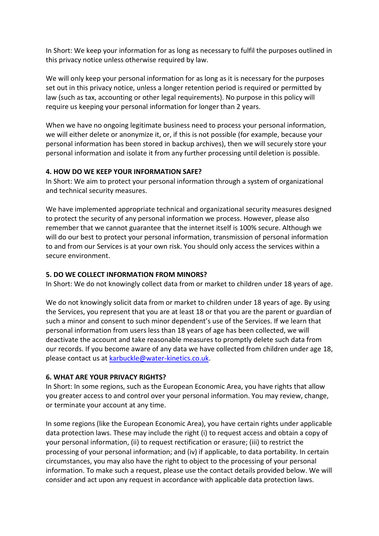In Short: We keep your information for as long as necessary to fulfil the purposes outlined in this privacy notice unless otherwise required by law.

We will only keep your personal information for as long as it is necessary for the purposes set out in this privacy notice, unless a longer retention period is required or permitted by law (such as tax, accounting or other legal requirements). No purpose in this policy will require us keeping your personal information for longer than 2 years.

When we have no ongoing legitimate business need to process your personal information, we will either delete or anonymize it, or, if this is not possible (for example, because your personal information has been stored in backup archives), then we will securely store your personal information and isolate it from any further processing until deletion is possible.

## **4. HOW DO WE KEEP YOUR INFORMATION SAFE?**

In Short: We aim to protect your personal information through a system of organizational and technical security measures.

We have implemented appropriate technical and organizational security measures designed to protect the security of any personal information we process. However, please also remember that we cannot guarantee that the internet itself is 100% secure. Although we will do our best to protect your personal information, transmission of personal information to and from our Services is at your own risk. You should only access the services within a secure environment.

## **5. DO WE COLLECT INFORMATION FROM MINORS?**

In Short: We do not knowingly collect data from or market to children under 18 years of age.

We do not knowingly solicit data from or market to children under 18 years of age. By using the Services, you represent that you are at least 18 or that you are the parent or guardian of such a minor and consent to such minor dependent's use of the Services. If we learn that personal information from users less than 18 years of age has been collected, we will deactivate the account and take reasonable measures to promptly delete such data from our records. If you become aware of any data we have collected from children under age 18, please contact us at [karbuckle@water-kinetics.co.uk.](mailto:karbuckle@water-kinetics.co.uk)

## **6. WHAT ARE YOUR PRIVACY RIGHTS?**

In Short: In some regions, such as the European Economic Area, you have rights that allow you greater access to and control over your personal information. You may review, change, or terminate your account at any time.

In some regions (like the European Economic Area), you have certain rights under applicable data protection laws. These may include the right (i) to request access and obtain a copy of your personal information, (ii) to request rectification or erasure; (iii) to restrict the processing of your personal information; and (iv) if applicable, to data portability. In certain circumstances, you may also have the right to object to the processing of your personal information. To make such a request, please use the contact details provided below. We will consider and act upon any request in accordance with applicable data protection laws.